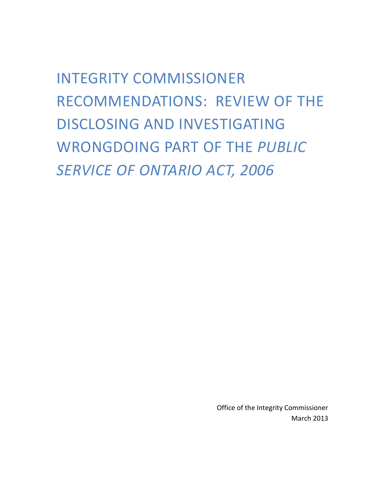INTEGRITY COMMISSIONER RECOMMENDATIONS: REVIEW OF THE DISCLOSING AND INVESTIGATING WRONGDOING PART OF THE *PUBLIC SERVICE OF ONTARIO ACT, 2006*

> Office of the Integrity Commissioner March 2013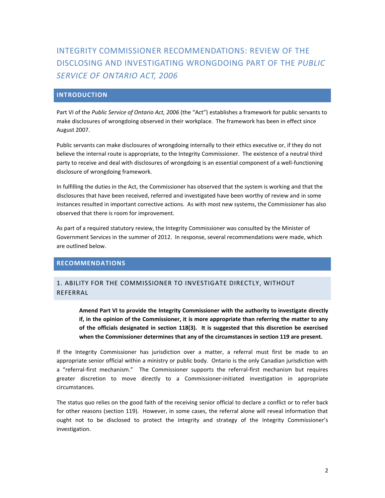# INTEGRITY COMMISSIONER RECOMMENDATIONS: REVIEW OF THE DISCLOSING AND INVESTIGATING WRONGDOING PART OF THE *PUBLIC SERVICE OF ONTARIO ACT, 2006*

## **INTRODUCTION**

Part VI of the *Public Service of Ontario Act, 2006* (the "Act") establishes a framework for public servants to make disclosures of wrongdoing observed in their workplace. The framework has been in effect since August 2007.

Public servants can make disclosures of wrongdoing internally to their ethics executive or, if they do not believe the internal route is appropriate, to the Integrity Commissioner. The existence of a neutral third party to receive and deal with disclosures of wrongdoing is an essential component of a well-functioning disclosure of wrongdoing framework.

In fulfilling the duties in the Act, the Commissioner has observed that the system is working and that the disclosures that have been received, referred and investigated have been worthy of review and in some instances resulted in important corrective actions. As with most new systems, the Commissioner has also observed that there is room for improvement.

As part of a required statutory review, the Integrity Commissioner was consulted by the Minister of Government Services in the summer of 2012. In response, several recommendations were made, which are outlined below.

## **RECOMMENDATIONS**

## 1. ABILITY FOR THE COMMISSIONER TO INVESTIGATE DIRECTLY, WITHOUT REFERRAL

**Amend Part VI to provide the Integrity Commissioner with the authority to investigate directly if, in the opinion of the Commissioner, it is more appropriate than referring the matter to any of the officials designated in section 118(3). It is suggested that this discretion be exercised when the Commissioner determines that any of the circumstances in section 119 are present.** 

If the Integrity Commissioner has jurisdiction over a matter, a referral must first be made to an appropriate senior official within a ministry or public body. Ontario is the only Canadian jurisdiction with a "referral-first mechanism." The Commissioner supports the referral-first mechanism but requires greater discretion to move directly to a Commissioner-initiated investigation in appropriate circumstances.

The status quo relies on the good faith of the receiving senior official to declare a conflict or to refer back for other reasons (section 119). However, in some cases, the referral alone will reveal information that ought not to be disclosed to protect the integrity and strategy of the Integrity Commissioner's investigation.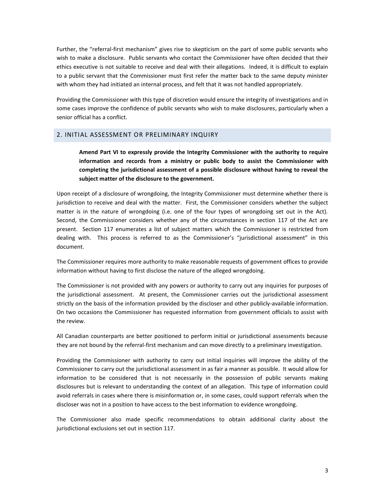Further, the "referral-first mechanism" gives rise to skepticism on the part of some public servants who wish to make a disclosure. Public servants who contact the Commissioner have often decided that their ethics executive is not suitable to receive and deal with their allegations. Indeed, it is difficult to explain to a public servant that the Commissioner must first refer the matter back to the same deputy minister with whom they had initiated an internal process, and felt that it was not handled appropriately.

Providing the Commissioner with this type of discretion would ensure the integrity of investigations and in some cases improve the confidence of public servants who wish to make disclosures, particularly when a senior official has a conflict.

#### 2. INITIAL ASSESSMENT OR PRELIMINARY INQUIRY

**Amend Part VI to expressly provide the Integrity Commissioner with the authority to require information and records from a ministry or public body to assist the Commissioner with completing the jurisdictional assessment of a possible disclosure without having to reveal the subject matter of the disclosure to the government.**

Upon receipt of a disclosure of wrongdoing, the Integrity Commissioner must determine whether there is jurisdiction to receive and deal with the matter. First, the Commissioner considers whether the subject matter is in the nature of wrongdoing (i.e. one of the four types of wrongdoing set out in the Act). Second, the Commissioner considers whether any of the circumstances in section 117 of the Act are present. Section 117 enumerates a list of subject matters which the Commissioner is restricted from dealing with. This process is referred to as the Commissioner's "jurisdictional assessment" in this document.

The Commissioner requires more authority to make reasonable requests of government offices to provide information without having to first disclose the nature of the alleged wrongdoing.

The Commissioner is not provided with any powers or authority to carry out any inquiries for purposes of the jurisdictional assessment. At present, the Commissioner carries out the jurisdictional assessment strictly on the basis of the information provided by the discloser and other publicly-available information. On two occasions the Commissioner has requested information from government officials to assist with the review.

All Canadian counterparts are better positioned to perform initial or jurisdictional assessments because they are not bound by the referral-first mechanism and can move directly to a preliminary investigation.

Providing the Commissioner with authority to carry out initial inquiries will improve the ability of the Commissioner to carry out the jurisdictional assessment in as fair a manner as possible. It would allow for information to be considered that is not necessarily in the possession of public servants making disclosures but is relevant to understanding the context of an allegation. This type of information could avoid referrals in cases where there is misinformation or, in some cases, could support referrals when the discloser was not in a position to have access to the best information to evidence wrongdoing.

The Commissioner also made specific recommendations to obtain additional clarity about the jurisdictional exclusions set out in section 117.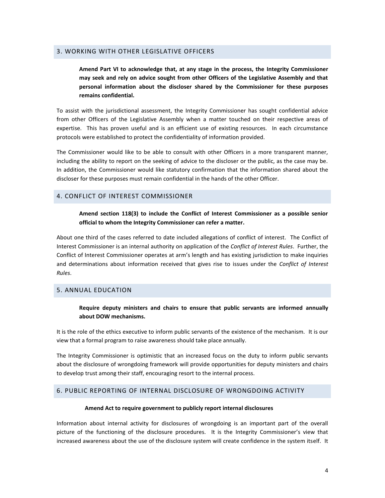## 3. WORKING WITH OTHER LEGISLATIVE OFFICERS

**Amend Part VI to acknowledge that, at any stage in the process, the Integrity Commissioner may seek and rely on advice sought from other Officers of the Legislative Assembly and that personal information about the discloser shared by the Commissioner for these purposes remains confidential.**

To assist with the jurisdictional assessment, the Integrity Commissioner has sought confidential advice from other Officers of the Legislative Assembly when a matter touched on their respective areas of expertise. This has proven useful and is an efficient use of existing resources. In each circumstance protocols were established to protect the confidentiality of information provided.

The Commissioner would like to be able to consult with other Officers in a more transparent manner, including the ability to report on the seeking of advice to the discloser or the public, as the case may be. In addition, the Commissioner would like statutory confirmation that the information shared about the discloser for these purposes must remain confidential in the hands of the other Officer.

#### 4. CONFLICT OF INTEREST COMMISSIONER

**Amend section 118(3) to include the Conflict of Interest Commissioner as a possible senior official to whom the Integrity Commissioner can refer a matter.**

About one third of the cases referred to date included allegations of conflict of interest. The Conflict of Interest Commissioner is an internal authority on application of the *Conflict of Interest Rules*. Further, the Conflict of Interest Commissioner operates at arm's length and has existing jurisdiction to make inquiries and determinations about information received that gives rise to issues under the *Conflict of Interest Rules*.

#### 5. ANNUAL EDUCATION

**Require deputy ministers and chairs to ensure that public servants are informed annually about DOW mechanisms.**

It is the role of the ethics executive to inform public servants of the existence of the mechanism. It is our view that a formal program to raise awareness should take place annually.

The Integrity Commissioner is optimistic that an increased focus on the duty to inform public servants about the disclosure of wrongdoing framework will provide opportunities for deputy ministers and chairs to develop trust among their staff, encouraging resort to the internal process.

## 6. PUBLIC REPORTING OF INTERNAL DISCLOSURE OF WRONGDOING ACTIVITY

#### **Amend Act to require government to publicly report internal disclosures**

Information about internal activity for disclosures of wrongdoing is an important part of the overall picture of the functioning of the disclosure procedures. It is the Integrity Commissioner's view that increased awareness about the use of the disclosure system will create confidence in the system itself. It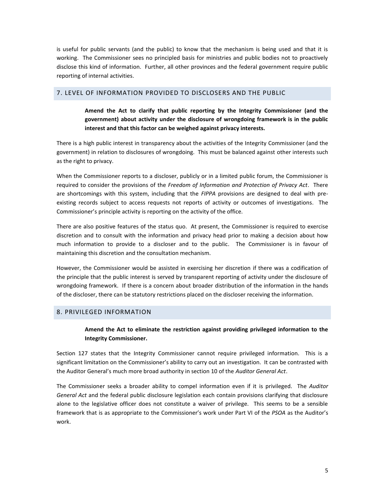is useful for public servants (and the public) to know that the mechanism is being used and that it is working. The Commissioner sees no principled basis for ministries and public bodies not to proactively disclose this kind of information. Further, all other provinces and the federal government require public reporting of internal activities.

#### 7. LEVEL OF INFORMATION PROVIDED TO DISCLOSERS AND THE PUBLIC

**Amend the Act to clarify that public reporting by the Integrity Commissioner (and the government) about activity under the disclosure of wrongdoing framework is in the public interest and that this factor can be weighed against privacy interests.**

There is a high public interest in transparency about the activities of the Integrity Commissioner (and the government) in relation to disclosures of wrongdoing. This must be balanced against other interests such as the right to privacy.

When the Commissioner reports to a discloser, publicly or in a limited public forum, the Commissioner is required to consider the provisions of the *Freedom of Information and Protection of Privacy Act*. There are shortcomings with this system, including that the *FIPPA* provisions are designed to deal with preexisting records subject to access requests not reports of activity or outcomes of investigations. The Commissioner's principle activity is reporting on the activity of the office.

There are also positive features of the status quo. At present, the Commissioner is required to exercise discretion and to consult with the information and privacy head prior to making a decision about how much information to provide to a discloser and to the public. The Commissioner is in favour of maintaining this discretion and the consultation mechanism.

However, the Commissioner would be assisted in exercising her discretion if there was a codification of the principle that the public interest is served by transparent reporting of activity under the disclosure of wrongdoing framework. If there is a concern about broader distribution of the information in the hands of the discloser, there can be statutory restrictions placed on the discloser receiving the information.

#### 8. PRIVILEGED INFORMATION

## **Amend the Act to eliminate the restriction against providing privileged information to the Integrity Commissioner.**

Section 127 states that the Integrity Commissioner cannot require privileged information. This is a significant limitation on the Commissioner's ability to carry out an investigation. It can be contrasted with the Auditor General's much more broad authority in section 10 of the *Auditor General Act*.

The Commissioner seeks a broader ability to compel information even if it is privileged. The *Auditor General Act* and the federal public disclosure legislation each contain provisions clarifying that disclosure alone to the legislative officer does not constitute a waiver of privilege. This seems to be a sensible framework that is as appropriate to the Commissioner's work under Part VI of the *PSOA* as the Auditor's work.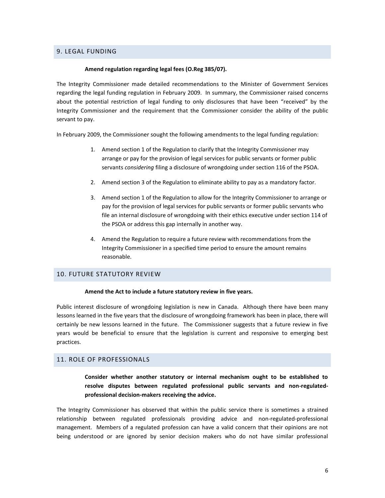## 9. LEGAL FUNDING

#### **Amend regulation regarding legal fees (O.Reg 385/07).**

The Integrity Commissioner made detailed recommendations to the Minister of Government Services regarding the legal funding regulation in February 2009. In summary, the Commissioner raised concerns about the potential restriction of legal funding to only disclosures that have been "received" by the Integrity Commissioner and the requirement that the Commissioner consider the ability of the public servant to pay.

In February 2009, the Commissioner sought the following amendments to the legal funding regulation:

- 1. Amend section 1 of the Regulation to clarify that the Integrity Commissioner may arrange or pay for the provision of legal services for public servants or former public servants *considering* filing a disclosure of wrongdoing under section 116 of the PSOA.
- 2. Amend section 3 of the Regulation to eliminate ability to pay as a mandatory factor.
- 3. Amend section 1 of the Regulation to allow for the Integrity Commissioner to arrange or pay for the provision of legal services for public servants or former public servants who file an internal disclosure of wrongdoing with their ethics executive under section 114 of the PSOA or address this gap internally in another way.
- 4. Amend the Regulation to require a future review with recommendations from the Integrity Commissioner in a specified time period to ensure the amount remains reasonable.

#### 10. FUTURE STATUTORY REVIEW

#### **Amend the Act to include a future statutory review in five years.**

Public interest disclosure of wrongdoing legislation is new in Canada. Although there have been many lessons learned in the five years that the disclosure of wrongdoing framework has been in place, there will certainly be new lessons learned in the future. The Commissioner suggests that a future review in five years would be beneficial to ensure that the legislation is current and responsive to emerging best practices.

## 11. ROLE OF PROFESSIONALS

**Consider whether another statutory or internal mechanism ought to be established to resolve disputes between regulated professional public servants and non-regulatedprofessional decision-makers receiving the advice.**

The Integrity Commissioner has observed that within the public service there is sometimes a strained relationship between regulated professionals providing advice and non-regulated-professional management. Members of a regulated profession can have a valid concern that their opinions are not being understood or are ignored by senior decision makers who do not have similar professional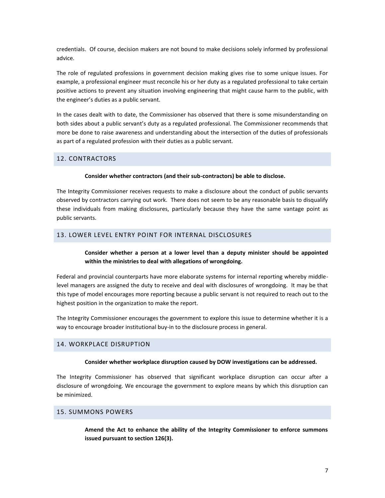credentials. Of course, decision makers are not bound to make decisions solely informed by professional advice.

The role of regulated professions in government decision making gives rise to some unique issues. For example, a professional engineer must reconcile his or her duty as a regulated professional to take certain positive actions to prevent any situation involving engineering that might cause harm to the public, with the engineer's duties as a public servant.

In the cases dealt with to date, the Commissioner has observed that there is some misunderstanding on both sides about a public servant's duty as a regulated professional. The Commissioner recommends that more be done to raise awareness and understanding about the intersection of the duties of professionals as part of a regulated profession with their duties as a public servant.

## 12. CONTRACTORS

#### **Consider whether contractors (and their sub-contractors) be able to disclose.**

The Integrity Commissioner receives requests to make a disclosure about the conduct of public servants observed by contractors carrying out work. There does not seem to be any reasonable basis to disqualify these individuals from making disclosures, particularly because they have the same vantage point as public servants.

## 13. LOWER LEVEL ENTRY POINT FOR INTERNAL DISCLOSURES

## **Consider whether a person at a lower level than a deputy minister should be appointed within the ministries to deal with allegations of wrongdoing.**

Federal and provincial counterparts have more elaborate systems for internal reporting whereby middlelevel managers are assigned the duty to receive and deal with disclosures of wrongdoing. It may be that this type of model encourages more reporting because a public servant is not required to reach out to the highest position in the organization to make the report.

The Integrity Commissioner encourages the government to explore this issue to determine whether it is a way to encourage broader institutional buy-in to the disclosure process in general.

#### 14. WORKPLACE DISRUPTION

#### **Consider whether workplace disruption caused by DOW investigations can be addressed.**

The Integrity Commissioner has observed that significant workplace disruption can occur after a disclosure of wrongdoing. We encourage the government to explore means by which this disruption can be minimized.

## 15. SUMMONS POWERS

**Amend the Act to enhance the ability of the Integrity Commissioner to enforce summons issued pursuant to section 126(3).**